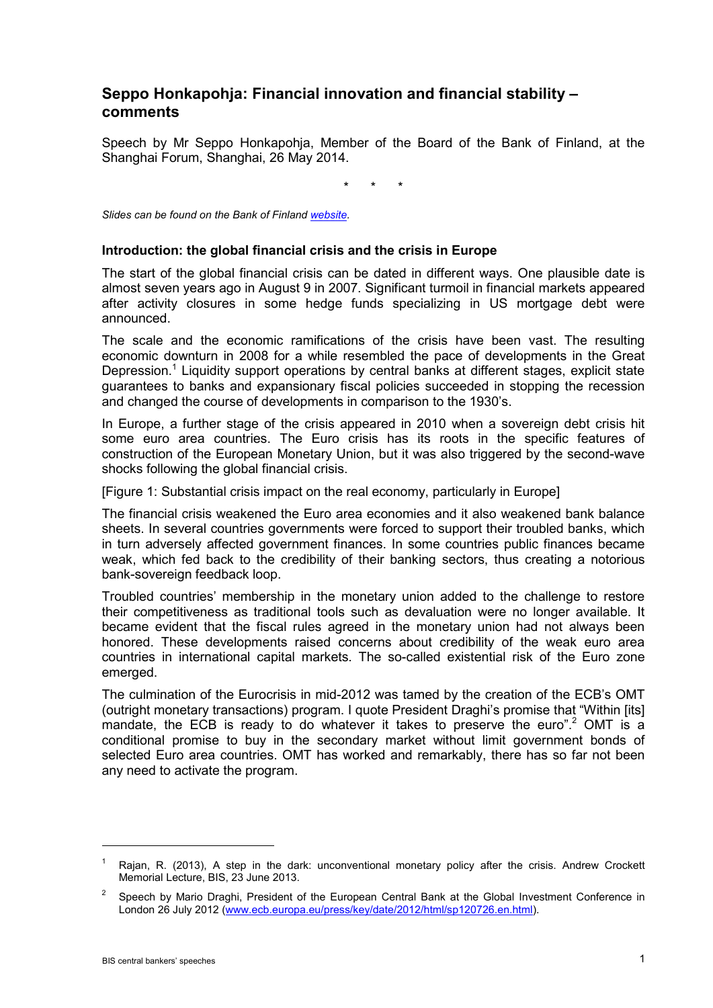# **Seppo Honkapohja: Financial innovation and financial stability – comments**

Speech by Mr Seppo Honkapohja, Member of the Board of the Bank of Finland, at the Shanghai Forum, Shanghai, 26 May 2014.

\* \* \*

*Slides can be found on the Bank of Finland [website.](http://www.suomenpankki.fi/fi/suomen_pankki/ajankohtaista/puheet/Documents/0526%20Shanghai%20panel%20%20Financial%20innovation%20and%20financial%20stability%20Shanghai%20final.pdf)*

#### **Introduction: the global financial crisis and the crisis in Europe**

The start of the global financial crisis can be dated in different ways. One plausible date is almost seven years ago in August 9 in 2007. Significant turmoil in financial markets appeared after activity closures in some hedge funds specializing in US mortgage debt were announced.

The scale and the economic ramifications of the crisis have been vast. The resulting economic downturn in 2008 for a while resembled the pace of developments in the Great Depression.<sup>1</sup> Liquidity support operations by central banks at different stages, explicit state guarantees to banks and expansionary fiscal policies succeeded in stopping the recession and changed the course of developments in comparison to the 1930's.

In Europe, a further stage of the crisis appeared in 2010 when a sovereign debt crisis hit some euro area countries. The Euro crisis has its roots in the specific features of construction of the European Monetary Union, but it was also triggered by the second-wave shocks following the global financial crisis.

[Figure 1: Substantial crisis impact on the real economy, particularly in Europe]

The financial crisis weakened the Euro area economies and it also weakened bank balance sheets. In several countries governments were forced to support their troubled banks, which in turn adversely affected government finances. In some countries public finances became weak, which fed back to the credibility of their banking sectors, thus creating a notorious bank-sovereign feedback loop.

Troubled countries' membership in the monetary union added to the challenge to restore their competitiveness as traditional tools such as devaluation were no longer available. It became evident that the fiscal rules agreed in the monetary union had not always been honored. These developments raised concerns about credibility of the weak euro area countries in international capital markets. The so-called existential risk of the Euro zone emerged.

The culmination of the Eurocrisis in mid-2012 was tamed by the creation of the ECB's OMT (outright monetary transactions) program. I quote President Draghi's promise that "Within [its] mandate, the ECB is ready to do whatever it takes to preserve the euro".<sup>2</sup> OMT is a conditional promise to buy in the secondary market without limit government bonds of selected Euro area countries. OMT has worked and remarkably, there has so far not been any need to activate the program.

Rajan, R. (2013), A step in the dark: unconventional monetary policy after the crisis. Andrew Crockett Memorial Lecture, BIS, 23 June 2013.

<sup>&</sup>lt;sup>2</sup> Speech by Mario Draghi, President of the European Central Bank at the Global Investment Conference in London 26 July 2012 [\(www.ecb.europa.eu/press/key/date/2012/html/sp120726.en.html\)](http://www.ecb.europa.eu/press/key/date/2012/html/sp120726.en.html).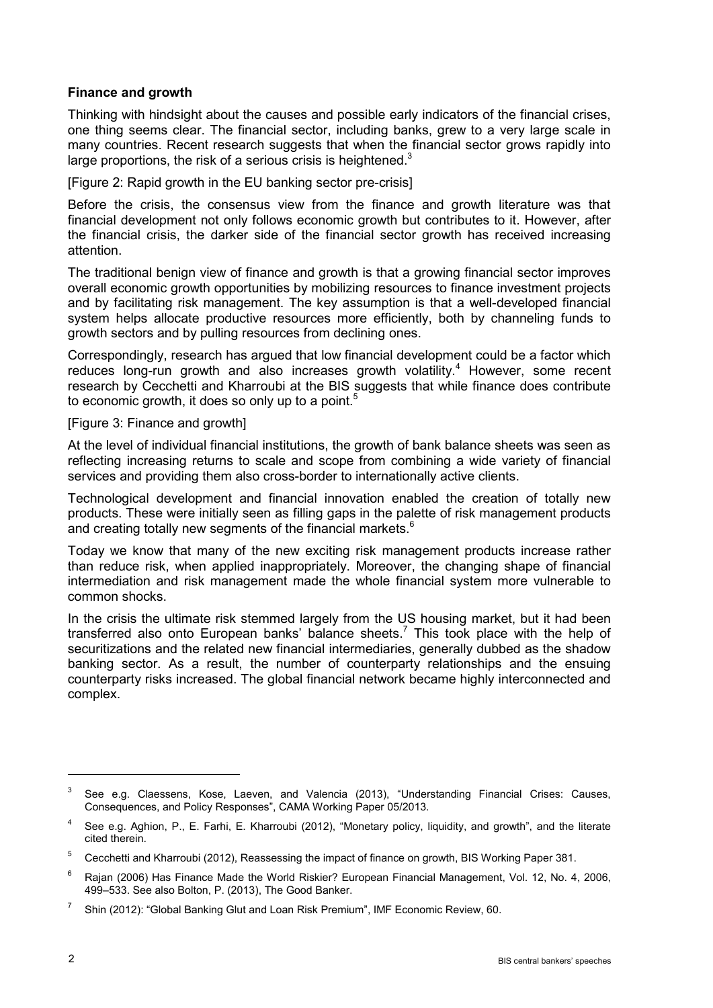## **Finance and growth**

Thinking with hindsight about the causes and possible early indicators of the financial crises, one thing seems clear. The financial sector, including banks, grew to a very large scale in many countries. Recent research suggests that when the financial sector grows rapidly into large proportions, the risk of a serious crisis is heightened.<sup>3</sup>

[Figure 2: Rapid growth in the EU banking sector pre-crisis]

Before the crisis, the consensus view from the finance and growth literature was that financial development not only follows economic growth but contributes to it. However, after the financial crisis, the darker side of the financial sector growth has received increasing attention.

The traditional benign view of finance and growth is that a growing financial sector improves overall economic growth opportunities by mobilizing resources to finance investment projects and by facilitating risk management. The key assumption is that a well-developed financial system helps allocate productive resources more efficiently, both by channeling funds to growth sectors and by pulling resources from declining ones.

Correspondingly, research has argued that low financial development could be a factor which reduces long-run growth and also increases growth volatility.<sup>4</sup> However, some recent research by Cecchetti and Kharroubi at the BIS suggests that while finance does contribute to economic growth, it does so only up to a point.<sup>5</sup>

[Figure 3: Finance and growth]

At the level of individual financial institutions, the growth of bank balance sheets was seen as reflecting increasing returns to scale and scope from combining a wide variety of financial services and providing them also cross-border to internationally active clients.

Technological development and financial innovation enabled the creation of totally new products. These were initially seen as filling gaps in the palette of risk management products and creating totally new segments of the financial markets.<sup>6</sup>

Today we know that many of the new exciting risk management products increase rather than reduce risk, when applied inappropriately. Moreover, the changing shape of financial intermediation and risk management made the whole financial system more vulnerable to common shocks.

In the crisis the ultimate risk stemmed largely from the US housing market, but it had been transferred also onto European banks' balance sheets.<sup>7</sup> This took place with the help of securitizations and the related new financial intermediaries, generally dubbed as the shadow banking sector. As a result, the number of counterparty relationships and the ensuing counterparty risks increased. The global financial network became highly interconnected and complex.

<sup>&</sup>lt;sup>3</sup> See e.g. Claessens, Kose, Laeven, and Valencia (2013), "Understanding Financial Crises: Causes, Consequences, and Policy Responses", CAMA Working Paper 05/2013.

<sup>4</sup> See e.g. Aghion, P., E. Farhi, E. Kharroubi (2012), "Monetary policy, liquidity, and growth", and the literate cited therein.

<sup>5</sup> Cecchetti and Kharroubi (2012), Reassessing the impact of finance on growth, BIS Working Paper 381.

<sup>6</sup> Rajan (2006) Has Finance Made the World Riskier? European Financial Management, Vol. 12, No. 4, 2006, 499–533. See also Bolton, P. (2013), The Good Banker.

<sup>&</sup>lt;sup>7</sup> Shin (2012): "Global Banking Glut and Loan Risk Premium", IMF Economic Review, 60.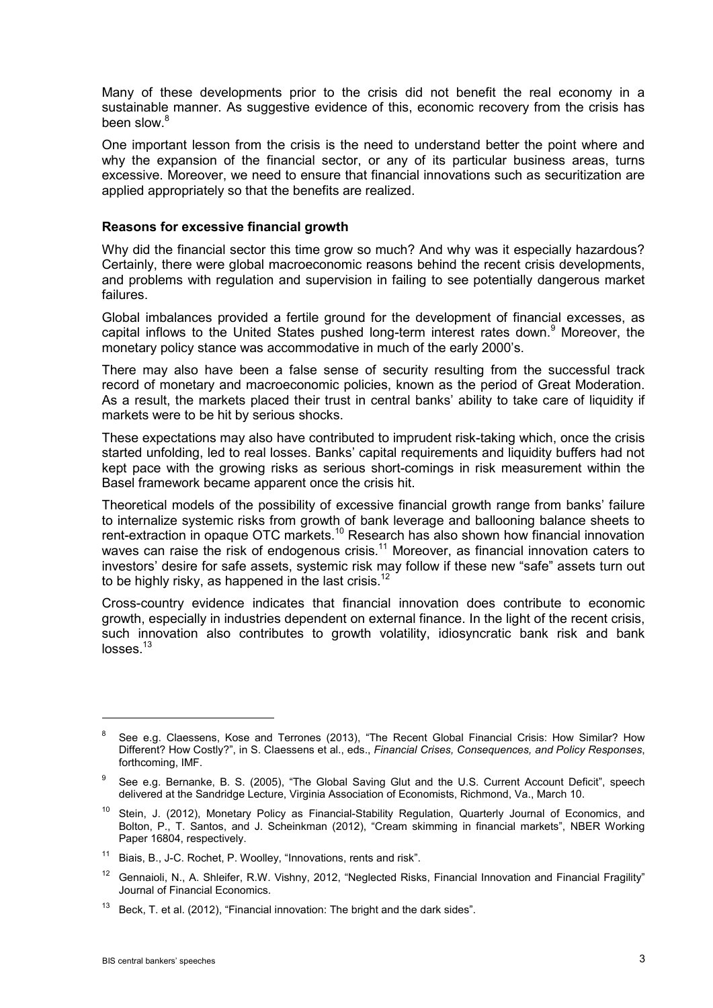Many of these developments prior to the crisis did not benefit the real economy in a sustainable manner. As suggestive evidence of this, economic recovery from the crisis has been slow.<sup>8</sup>

One important lesson from the crisis is the need to understand better the point where and why the expansion of the financial sector, or any of its particular business areas, turns excessive. Moreover, we need to ensure that financial innovations such as securitization are applied appropriately so that the benefits are realized.

#### **Reasons for excessive financial growth**

Why did the financial sector this time grow so much? And why was it especially hazardous? Certainly, there were global macroeconomic reasons behind the recent crisis developments, and problems with regulation and supervision in failing to see potentially dangerous market failures.

Global imbalances provided a fertile ground for the development of financial excesses, as capital inflows to the United States pushed long-term interest rates down.<sup>9</sup> Moreover, the monetary policy stance was accommodative in much of the early 2000's.

There may also have been a false sense of security resulting from the successful track record of monetary and macroeconomic policies, known as the period of Great Moderation. As a result, the markets placed their trust in central banks' ability to take care of liquidity if markets were to be hit by serious shocks.

These expectations may also have contributed to imprudent risk-taking which, once the crisis started unfolding, led to real losses. Banks' capital requirements and liquidity buffers had not kept pace with the growing risks as serious short-comings in risk measurement within the Basel framework became apparent once the crisis hit.

Theoretical models of the possibility of excessive financial growth range from banks' failure to internalize systemic risks from growth of bank leverage and ballooning balance sheets to rent-extraction in opaque OTC markets.<sup>10</sup> Research has also shown how financial innovation waves can raise the risk of endogenous crisis.<sup>11</sup> Moreover, as financial innovation caters to investors' desire for safe assets, systemic risk may follow if these new "safe" assets turn out to be highly risky, as happened in the last crisis.<sup>12</sup>

Cross-country evidence indicates that financial innovation does contribute to economic growth, especially in industries dependent on external finance. In the light of the recent crisis, such innovation also contributes to growth volatility, idiosyncratic bank risk and bank  $losses.<sup>13</sup>$ 

1

<sup>&</sup>lt;sup>8</sup> See e.g. Claessens, Kose and Terrones (2013), "The Recent Global Financial Crisis: How Similar? How Different? How Costly?", in S. Claessens et al., eds., *Financial Crises, Consequences, and Policy Responses*, forthcoming, IMF.

<sup>&</sup>lt;sup>9</sup> See e.g. Bernanke, B. S. (2005), "The Global Saving Glut and the U.S. Current Account Deficit", speech delivered at the Sandridge Lecture, Virginia Association of Economists, Richmond, Va., March 10.

<sup>&</sup>lt;sup>10</sup> Stein, J. (2012), Monetary Policy as Financial-Stability Regulation, Quarterly Journal of Economics, and Bolton, P., T. Santos, and J. Scheinkman (2012), "Cream skimming in financial markets", NBER Working Paper 16804, respectively.

<sup>11</sup> Biais, B., J-C. Rochet, P. Woolley, "Innovations, rents and risk".

<sup>&</sup>lt;sup>12</sup> Gennaioli, N., A. Shleifer, R.W. Vishny, 2012, "Neglected Risks, Financial Innovation and Financial Fragility" Journal of Financial Economics.

 $13$  Beck, T. et al. (2012), "Financial innovation: The bright and the dark sides".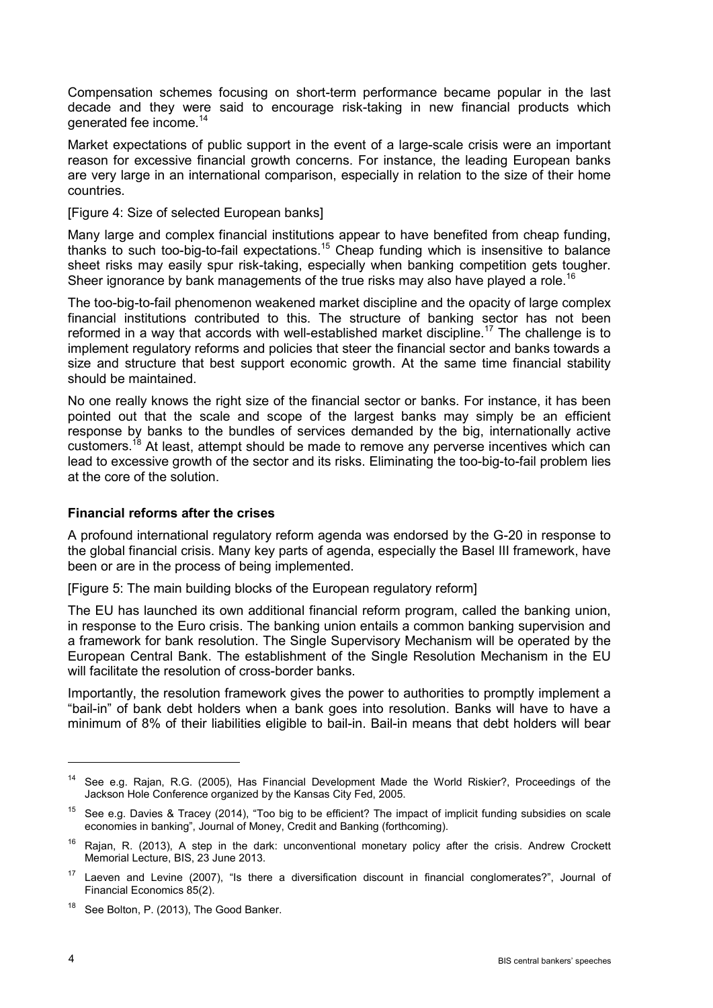Compensation schemes focusing on short-term performance became popular in the last decade and they were said to encourage risk-taking in new financial products which generated fee income.<sup>14</sup>

Market expectations of public support in the event of a large-scale crisis were an important reason for excessive financial growth concerns. For instance, the leading European banks are very large in an international comparison, especially in relation to the size of their home countries.

[Figure 4: Size of selected European banks]

Many large and complex financial institutions appear to have benefited from cheap funding, thanks to such too-big-to-fail expectations.15 Cheap funding which is insensitive to balance sheet risks may easily spur risk-taking, especially when banking competition gets tougher. Sheer ignorance by bank managements of the true risks may also have played a role.<sup>16</sup>

The too-big-to-fail phenomenon weakened market discipline and the opacity of large complex financial institutions contributed to this. The structure of banking sector has not been reformed in a way that accords with well-established market discipline.<sup>17</sup> The challenge is to implement regulatory reforms and policies that steer the financial sector and banks towards a size and structure that best support economic growth. At the same time financial stability should be maintained.

No one really knows the right size of the financial sector or banks. For instance, it has been pointed out that the scale and scope of the largest banks may simply be an efficient response by banks to the bundles of services demanded by the big, internationally active customers.<sup>18</sup> At least, attempt should be made to remove any perverse incentives which can lead to excessive growth of the sector and its risks. Eliminating the too-big-to-fail problem lies at the core of the solution.

## **Financial reforms after the crises**

A profound international regulatory reform agenda was endorsed by the G-20 in response to the global financial crisis. Many key parts of agenda, especially the Basel III framework, have been or are in the process of being implemented.

[Figure 5: The main building blocks of the European regulatory reform]

The EU has launched its own additional financial reform program, called the banking union, in response to the Euro crisis. The banking union entails a common banking supervision and a framework for bank resolution. The Single Supervisory Mechanism will be operated by the European Central Bank. The establishment of the Single Resolution Mechanism in the EU will facilitate the resolution of cross-border banks.

Importantly, the resolution framework gives the power to authorities to promptly implement a "bail-in" of bank debt holders when a bank goes into resolution. Banks will have to have a minimum of 8% of their liabilities eligible to bail-in. Bail-in means that debt holders will bear

<sup>14</sup> See e.g. Rajan, R.G. (2005), Has Financial Development Made the World Riskier?, Proceedings of the Jackson Hole Conference organized by the Kansas City Fed, 2005.

<sup>&</sup>lt;sup>15</sup> See e.g. Davies & Tracey (2014), "Too big to be efficient? The impact of implicit funding subsidies on scale economies in banking", Journal of Money, Credit and Banking (forthcoming).

 $16$  Rajan, R. (2013), A step in the dark: unconventional monetary policy after the crisis. Andrew Crockett Memorial Lecture, BIS, 23 June 2013.

<sup>&</sup>lt;sup>17</sup> Laeven and Levine (2007), "Is there a diversification discount in financial conglomerates?", Journal of Financial Economics 85(2).

<sup>&</sup>lt;sup>18</sup> See Bolton, P. (2013), The Good Banker.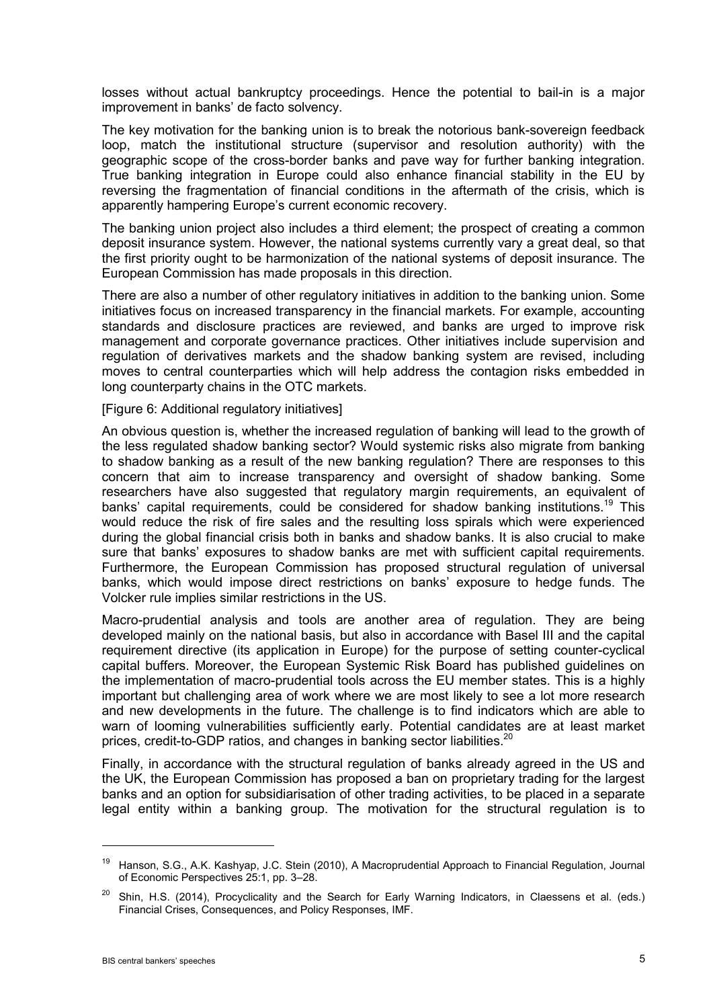losses without actual bankruptcy proceedings. Hence the potential to bail-in is a major improvement in banks' de facto solvency.

The key motivation for the banking union is to break the notorious bank-sovereign feedback loop, match the institutional structure (supervisor and resolution authority) with the geographic scope of the cross-border banks and pave way for further banking integration. True banking integration in Europe could also enhance financial stability in the EU by reversing the fragmentation of financial conditions in the aftermath of the crisis, which is apparently hampering Europe's current economic recovery.

The banking union project also includes a third element; the prospect of creating a common deposit insurance system. However, the national systems currently vary a great deal, so that the first priority ought to be harmonization of the national systems of deposit insurance. The European Commission has made proposals in this direction.

There are also a number of other regulatory initiatives in addition to the banking union. Some initiatives focus on increased transparency in the financial markets. For example, accounting standards and disclosure practices are reviewed, and banks are urged to improve risk management and corporate governance practices. Other initiatives include supervision and regulation of derivatives markets and the shadow banking system are revised, including moves to central counterparties which will help address the contagion risks embedded in long counterparty chains in the OTC markets.

[Figure 6: Additional regulatory initiatives]

An obvious question is, whether the increased regulation of banking will lead to the growth of the less regulated shadow banking sector? Would systemic risks also migrate from banking to shadow banking as a result of the new banking regulation? There are responses to this concern that aim to increase transparency and oversight of shadow banking. Some researchers have also suggested that regulatory margin requirements, an equivalent of banks' capital requirements, could be considered for shadow banking institutions.<sup>19</sup> This would reduce the risk of fire sales and the resulting loss spirals which were experienced during the global financial crisis both in banks and shadow banks. It is also crucial to make sure that banks' exposures to shadow banks are met with sufficient capital requirements. Furthermore, the European Commission has proposed structural regulation of universal banks, which would impose direct restrictions on banks' exposure to hedge funds. The Volcker rule implies similar restrictions in the US.

Macro-prudential analysis and tools are another area of regulation. They are being developed mainly on the national basis, but also in accordance with Basel III and the capital requirement directive (its application in Europe) for the purpose of setting counter-cyclical capital buffers. Moreover, the European Systemic Risk Board has published guidelines on the implementation of macro-prudential tools across the EU member states. This is a highly important but challenging area of work where we are most likely to see a lot more research and new developments in the future. The challenge is to find indicators which are able to warn of looming vulnerabilities sufficiently early. Potential candidates are at least market prices, credit-to-GDP ratios, and changes in banking sector liabilities.<sup>20</sup>

Finally, in accordance with the structural regulation of banks already agreed in the US and the UK, the European Commission has proposed a ban on proprietary trading for the largest banks and an option for subsidiarisation of other trading activities, to be placed in a separate legal entity within a banking group. The motivation for the structural regulation is to

<sup>19</sup> Hanson, S.G., A.K. Kashyap, J.C. Stein (2010), A Macroprudential Approach to Financial Regulation, Journal of Economic Perspectives 25:1, pp. 3–28.

<sup>&</sup>lt;sup>20</sup> Shin, H.S. (2014), Procyclicality and the Search for Early Warning Indicators, in Claessens et al. (eds.) Financial Crises, Consequences, and Policy Responses, IMF.